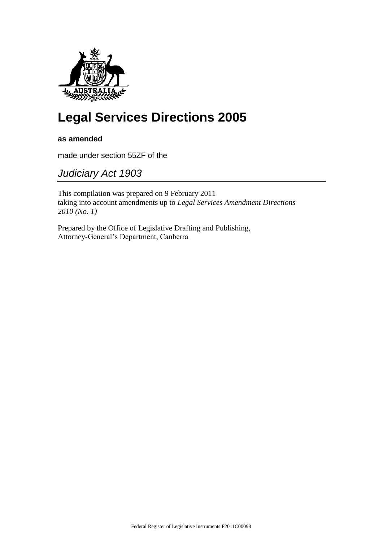

# **Legal Services Directions 2005**

**as amended**

made under section 55ZF of the

*Judiciary Act 1903*

This compilation was prepared on 9 February 2011 taking into account amendments up to *Legal Services Amendment Directions 2010 (No. 1)*

Prepared by the Office of Legislative Drafting and Publishing, Attorney-General's Department, Canberra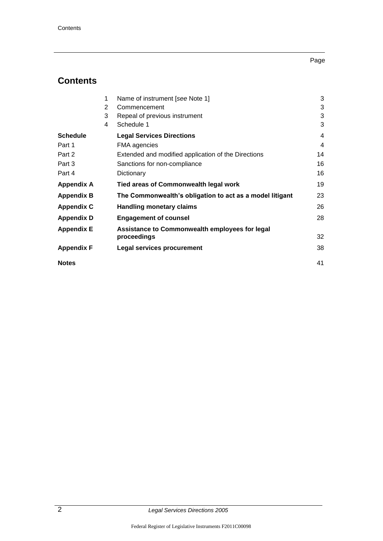## Page

## **Contents**

|                   | 1              | Name of instrument [see Note 1]                          | 3  |
|-------------------|----------------|----------------------------------------------------------|----|
|                   | $\overline{2}$ | Commencement                                             | 3  |
|                   | 3              | Repeal of previous instrument                            | 3  |
|                   | 4              | Schedule 1                                               | 3  |
| Schedule          |                | <b>Legal Services Directions</b>                         | 4  |
| Part 1            |                | FMA agencies                                             | 4  |
| Part 2            |                | Extended and modified application of the Directions      | 14 |
| Part 3            |                | Sanctions for non-compliance                             | 16 |
| Part 4            |                | Dictionary                                               | 16 |
| Appendix A        |                | Tied areas of Commonwealth legal work                    | 19 |
| <b>Appendix B</b> |                | The Commonwealth's obligation to act as a model litigant | 23 |
| Appendix C        |                | <b>Handling monetary claims</b>                          | 26 |
| Appendix D        |                | <b>Engagement of counsel</b>                             | 28 |
| Appendix E        |                | Assistance to Commonwealth employees for legal           |    |
|                   |                | proceedings                                              | 32 |
| Appendix F        |                | <b>Legal services procurement</b>                        | 38 |
| <b>Notes</b>      |                |                                                          | 41 |
|                   |                |                                                          |    |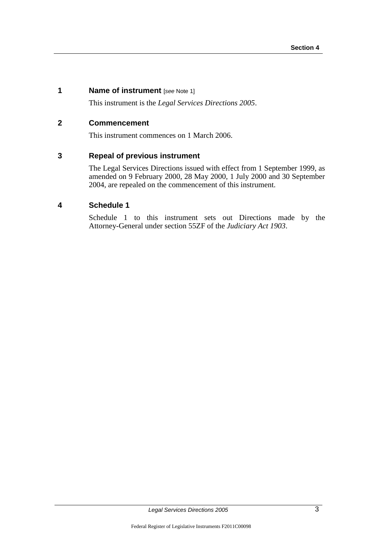## **1 Name of instrument** [*see* Note 1]

This instrument is the *Legal Services Directions 2005*.

## **2 Commencement**

This instrument commences on 1 March 2006.

## **3 Repeal of previous instrument**

The Legal Services Directions issued with effect from 1 September 1999, as amended on 9 February 2000, 28 May 2000, 1 July 2000 and 30 September 2004, are repealed on the commencement of this instrument.

## **4 Schedule 1**

Schedule 1 to this instrument sets out Directions made by the Attorney-General under section 55ZF of the *Judiciary Act 1903*.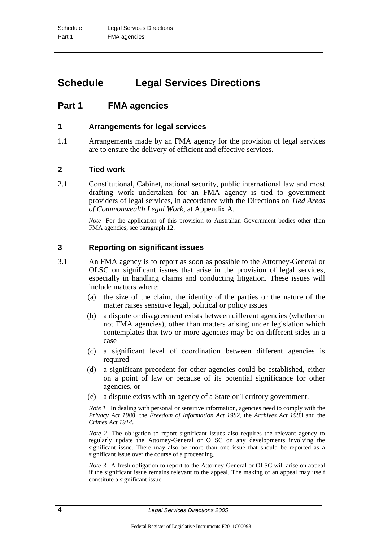## **Schedule Legal Services Directions**

## **Part 1 FMA agencies**

## **1 Arrangements for legal services**

1.1 Arrangements made by an FMA agency for the provision of legal services are to ensure the delivery of efficient and effective services.

## **2 Tied work**

2.1 Constitutional, Cabinet, national security, public international law and most drafting work undertaken for an FMA agency is tied to government providers of legal services, in accordance with the Directions on *Tied Areas of Commonwealth Legal Work*, at Appendix A.

> *Note* For the application of this provision to Australian Government bodies other than FMA agencies, see paragraph 12.

## **3 Reporting on significant issues**

- 3.1 An FMA agency is to report as soon as possible to the Attorney-General or OLSC on significant issues that arise in the provision of legal services, especially in handling claims and conducting litigation. These issues will include matters where:
	- (a) the size of the claim, the identity of the parties or the nature of the matter raises sensitive legal, political or policy issues
	- (b) a dispute or disagreement exists between different agencies (whether or not FMA agencies), other than matters arising under legislation which contemplates that two or more agencies may be on different sides in a case
	- (c) a significant level of coordination between different agencies is required
	- (d) a significant precedent for other agencies could be established, either on a point of law or because of its potential significance for other agencies, or
	- (e) a dispute exists with an agency of a State or Territory government.

*Note 1* In dealing with personal or sensitive information, agencies need to comply with the *Privacy Act 1988*, the *Freedom of Information Act 1982*, the *Archives Act 1983* and the *Crimes Act 1914*.

*Note 2* The obligation to report significant issues also requires the relevant agency to regularly update the Attorney-General or OLSC on any developments involving the significant issue. There may also be more than one issue that should be reported as a significant issue over the course of a proceeding.

*Note* 3 A fresh obligation to report to the Attorney-General or OLSC will arise on appeal if the significant issue remains relevant to the appeal. The making of an appeal may itself constitute a significant issue.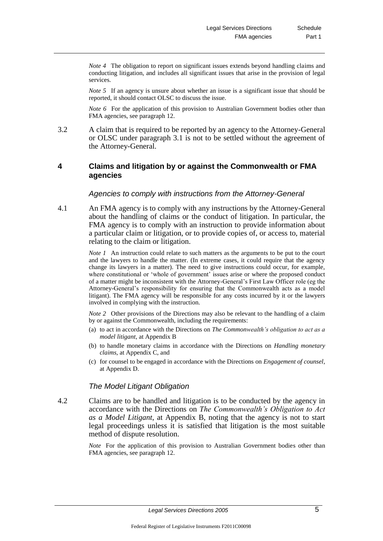*Note 4* The obligation to report on significant issues extends beyond handling claims and conducting litigation, and includes all significant issues that arise in the provision of legal services.

*Note 5* If an agency is unsure about whether an issue is a significant issue that should be reported, it should contact OLSC to discuss the issue.

*Note 6* For the application of this provision to Australian Government bodies other than FMA agencies, see paragraph 12.

3.2 A claim that is required to be reported by an agency to the Attorney-General or OLSC under paragraph 3.1 is not to be settled without the agreement of the Attorney-General.

## **4 Claims and litigation by or against the Commonwealth or FMA agencies**

## *Agencies to comply with instructions from the Attorney-General*

4.1 An FMA agency is to comply with any instructions by the Attorney-General about the handling of claims or the conduct of litigation. In particular, the FMA agency is to comply with an instruction to provide information about a particular claim or litigation, or to provide copies of, or access to, material relating to the claim or litigation.

> *Note 1* An instruction could relate to such matters as the arguments to be put to the court and the lawyers to handle the matter. (In extreme cases, it could require that the agency change its lawyers in a matter). The need to give instructions could occur, for example, where constitutional or 'whole of government' issues arise or where the proposed conduct of a matter might be inconsistent with the Attorney-General's First Law Officer role (eg the Attorney-General's responsibility for ensuring that the Commonwealth acts as a model litigant). The FMA agency will be responsible for any costs incurred by it or the lawyers involved in complying with the instruction.

> *Note 2* Other provisions of the Directions may also be relevant to the handling of a claim by or against the Commonwealth, including the requirements:

- (a) to act in accordance with the Directions on *The Commonwealth's obligation to act as a model litigant*, at Appendix B
- (b) to handle monetary claims in accordance with the Directions on *Handling monetary claims*, at Appendix C, and
- (c) for counsel to be engaged in accordance with the Directions on *Engagement of counsel*, at Appendix D.

#### *The Model Litigant Obligation*

4.2 Claims are to be handled and litigation is to be conducted by the agency in accordance with the Directions on *The Commonwealth's Obligation to Act as a Model Litigant*, at Appendix B, noting that the agency is not to start legal proceedings unless it is satisfied that litigation is the most suitable method of dispute resolution.

> *Note* For the application of this provision to Australian Government bodies other than FMA agencies, see paragraph 12.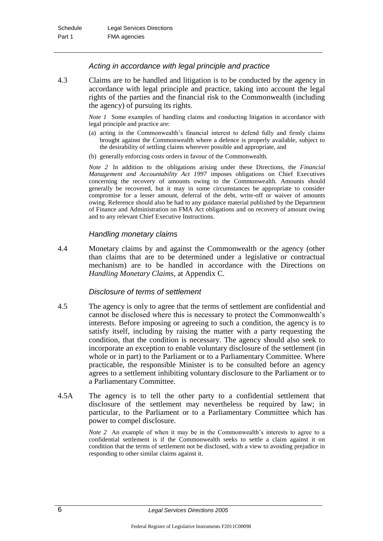#### *Acting in accordance with legal principle and practice*

4.3 Claims are to be handled and litigation is to be conducted by the agency in accordance with legal principle and practice, taking into account the legal rights of the parties and the financial risk to the Commonwealth (including the agency) of pursuing its rights.

> *Note 1* Some examples of handling claims and conducting litigation in accordance with legal principle and practice are:

- (a) acting in the Commonwealth's financial interest to defend fully and firmly claims brought against the Commonwealth where a defence is properly available, subject to the desirability of settling claims wherever possible and appropriate, and
- (b) generally enforcing costs orders in favour of the Commonwealth.

*Note 2* In addition to the obligations arising under these Directions, the *Financial Management and Accountability Act 1997* imposes obligations on Chief Executives concerning the recovery of amounts owing to the Commonwealth*.* Amounts should generally be recovered, but it may in some circumstances be appropriate to consider compromise for a lesser amount, deferral of the debt, write-off or waiver of amounts owing. Reference should also be had to any guidance material published by the Department of Finance and Administration on FMA Act obligations and on recovery of amount owing and to any relevant Chief Executive Instructions.

## *Handling monetary claims*

4.4 Monetary claims by and against the Commonwealth or the agency (other than claims that are to be determined under a legislative or contractual mechanism) are to be handled in accordance with the Directions on *Handling Monetary Claims*, at Appendix C.

#### *Disclosure of terms of settlement*

- 4.5 The agency is only to agree that the terms of settlement are confidential and cannot be disclosed where this is necessary to protect the Commonwealth's interests. Before imposing or agreeing to such a condition, the agency is to satisfy itself, including by raising the matter with a party requesting the condition, that the condition is necessary. The agency should also seek to incorporate an exception to enable voluntary disclosure of the settlement (in whole or in part) to the Parliament or to a Parliamentary Committee. Where practicable, the responsible Minister is to be consulted before an agency agrees to a settlement inhibiting voluntary disclosure to the Parliament or to a Parliamentary Committee.
- 4.5A The agency is to tell the other party to a confidential settlement that disclosure of the settlement may nevertheless be required by law; in particular, to the Parliament or to a Parliamentary Committee which has power to compel disclosure.

*Note 2* An example of when it may be in the Commonwealth's interests to agree to a confidential settlement is if the Commonwealth seeks to settle a claim against it on condition that the terms of settlement not be disclosed, with a view to avoiding prejudice in responding to other similar claims against it.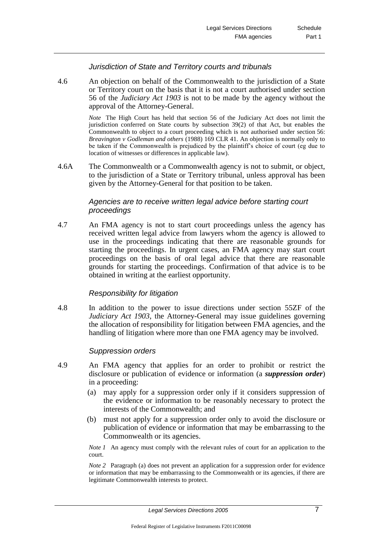#### *Jurisdiction of State and Territory courts and tribunals*

4.6 An objection on behalf of the Commonwealth to the jurisdiction of a State or Territory court on the basis that it is not a court authorised under section 56 of the *Judiciary Act 1903* is not to be made by the agency without the approval of the Attorney-General.

> *Note* The High Court has held that section 56 of the Judiciary Act does not limit the jurisdiction conferred on State courts by subsection 39(2) of that Act, but enables the Commonwealth to object to a court proceeding which is not authorised under section 56: *Breavington v Godleman and others* (1988) 169 CLR 41. An objection is normally only to be taken if the Commonwealth is prejudiced by the plaintiff's choice of court (eg due to location of witnesses or differences in applicable law).

4.6A The Commonwealth or a Commonwealth agency is not to submit, or object, to the jurisdiction of a State or Territory tribunal, unless approval has been given by the Attorney-General for that position to be taken.

## *Agencies are to receive written legal advice before starting court proceedings*

4.7 An FMA agency is not to start court proceedings unless the agency has received written legal advice from lawyers whom the agency is allowed to use in the proceedings indicating that there are reasonable grounds for starting the proceedings. In urgent cases, an FMA agency may start court proceedings on the basis of oral legal advice that there are reasonable grounds for starting the proceedings. Confirmation of that advice is to be obtained in writing at the earliest opportunity.

#### *Responsibility for litigation*

4.8 In addition to the power to issue directions under section 55ZF of the *Judiciary Act 1903*, the Attorney-General may issue guidelines governing the allocation of responsibility for litigation between FMA agencies, and the handling of litigation where more than one FMA agency may be involved.

#### *Suppression orders*

- 4.9 An FMA agency that applies for an order to prohibit or restrict the disclosure or publication of evidence or information (a *suppression order*) in a proceeding:
	- (a) may apply for a suppression order only if it considers suppression of the evidence or information to be reasonably necessary to protect the interests of the Commonwealth; and
	- (b) must not apply for a suppression order only to avoid the disclosure or publication of evidence or information that may be embarrassing to the Commonwealth or its agencies.

*Note 1* An agency must comply with the relevant rules of court for an application to the court.

*Note* 2 Paragraph (a) does not prevent an application for a suppression order for evidence or information that may be embarrassing to the Commonwealth or its agencies, if there are legitimate Commonwealth interests to protect.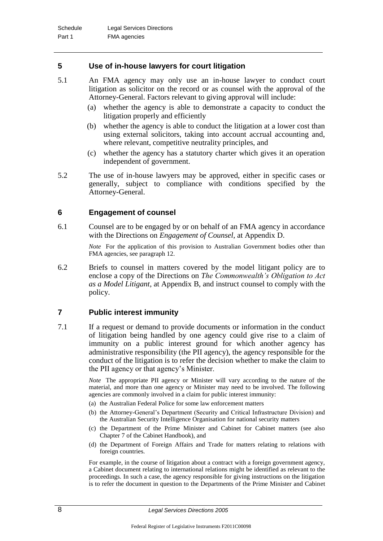## **5 Use of in-house lawyers for court litigation**

- 5.1 An FMA agency may only use an in-house lawyer to conduct court litigation as solicitor on the record or as counsel with the approval of the Attorney-General. Factors relevant to giving approval will include:
	- (a) whether the agency is able to demonstrate a capacity to conduct the litigation properly and efficiently
	- (b) whether the agency is able to conduct the litigation at a lower cost than using external solicitors, taking into account accrual accounting and, where relevant, competitive neutrality principles, and
	- (c) whether the agency has a statutory charter which gives it an operation independent of government.
- 5.2 The use of in-house lawyers may be approved, either in specific cases or generally, subject to compliance with conditions specified by the Attorney-General.

## **6 Engagement of counsel**

6.1 Counsel are to be engaged by or on behalf of an FMA agency in accordance with the Directions on *Engagement of Counsel*, at Appendix D.

> *Note* For the application of this provision to Australian Government bodies other than FMA agencies, see paragraph 12.

6.2 Briefs to counsel in matters covered by the model litigant policy are to enclose a copy of the Directions on *The Commonwealth's Obligation to Act as a Model Litigant*, at Appendix B, and instruct counsel to comply with the policy.

#### **7 Public interest immunity**

7.1 If a request or demand to provide documents or information in the conduct of litigation being handled by one agency could give rise to a claim of immunity on a public interest ground for which another agency has administrative responsibility (the PII agency), the agency responsible for the conduct of the litigation is to refer the decision whether to make the claim to the PII agency or that agency's Minister.

> *Note* The appropriate PII agency or Minister will vary according to the nature of the material, and more than one agency or Minister may need to be involved. The following agencies are commonly involved in a claim for public interest immunity:

- (a) the Australian Federal Police for some law enforcement matters
- (b) the Attorney-General's Department (Security and Critical Infrastructure Division) and the Australian Security Intelligence Organisation for national security matters
- (c) the Department of the Prime Minister and Cabinet for Cabinet matters (see also Chapter 7 of the Cabinet Handbook), and
- (d) the Department of Foreign Affairs and Trade for matters relating to relations with foreign countries.

For example, in the course of litigation about a contract with a foreign government agency, a Cabinet document relating to international relations might be identified as relevant to the proceedings. In such a case, the agency responsible for giving instructions on the litigation is to refer the document in question to the Departments of the Prime Minister and Cabinet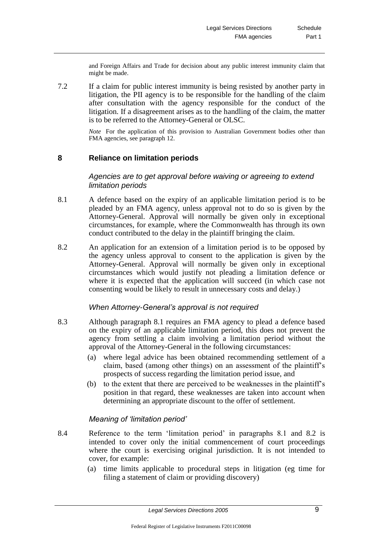and Foreign Affairs and Trade for decision about any public interest immunity claim that might be made.

7.2 If a claim for public interest immunity is being resisted by another party in litigation, the PII agency is to be responsible for the handling of the claim after consultation with the agency responsible for the conduct of the litigation. If a disagreement arises as to the handling of the claim, the matter is to be referred to the Attorney-General or OLSC.

> *Note* For the application of this provision to Australian Government bodies other than FMA agencies, see paragraph 12.

## **8 Reliance on limitation periods**

#### *Agencies are to get approval before waiving or agreeing to extend limitation periods*

- 8.1 A defence based on the expiry of an applicable limitation period is to be pleaded by an FMA agency, unless approval not to do so is given by the Attorney-General. Approval will normally be given only in exceptional circumstances, for example, where the Commonwealth has through its own conduct contributed to the delay in the plaintiff bringing the claim.
- 8.2 An application for an extension of a limitation period is to be opposed by the agency unless approval to consent to the application is given by the Attorney-General. Approval will normally be given only in exceptional circumstances which would justify not pleading a limitation defence or where it is expected that the application will succeed (in which case not consenting would be likely to result in unnecessary costs and delay.)

#### *When Attorney-General's approval is not required*

- 8.3 Although paragraph 8.1 requires an FMA agency to plead a defence based on the expiry of an applicable limitation period, this does not prevent the agency from settling a claim involving a limitation period without the approval of the Attorney-General in the following circumstances:
	- (a) where legal advice has been obtained recommending settlement of a claim, based (among other things) on an assessment of the plaintiff's prospects of success regarding the limitation period issue, and
	- (b) to the extent that there are perceived to be weaknesses in the plaintiff's position in that regard, these weaknesses are taken into account when determining an appropriate discount to the offer of settlement.

#### *Meaning of 'limitation period'*

- 8.4 Reference to the term 'limitation period' in paragraphs 8.1 and 8.2 is intended to cover only the initial commencement of court proceedings where the court is exercising original jurisdiction. It is not intended to cover, for example:
	- (a) time limits applicable to procedural steps in litigation (eg time for filing a statement of claim or providing discovery)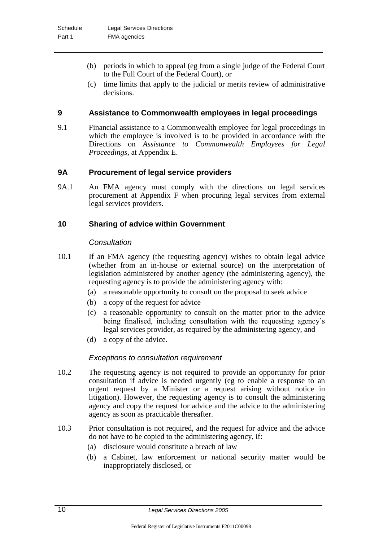- (b) periods in which to appeal (eg from a single judge of the Federal Court to the Full Court of the Federal Court), or
- (c) time limits that apply to the judicial or merits review of administrative decisions.

## **9 Assistance to Commonwealth employees in legal proceedings**

9.1 Financial assistance to a Commonwealth employee for legal proceedings in which the employee is involved is to be provided in accordance with the Directions on *Assistance to Commonwealth Employees for Legal Proceedings*, at Appendix E.

## **9A Procurement of legal service providers**

9A.1 An FMA agency must comply with the directions on legal services procurement at Appendix F when procuring legal services from external legal services providers.

## **10 Sharing of advice within Government**

## *Consultation*

- 10.1 If an FMA agency (the requesting agency) wishes to obtain legal advice (whether from an in-house or external source) on the interpretation of legislation administered by another agency (the administering agency), the requesting agency is to provide the administering agency with:
	- (a) a reasonable opportunity to consult on the proposal to seek advice
	- (b) a copy of the request for advice
	- (c) a reasonable opportunity to consult on the matter prior to the advice being finalised, including consultation with the requesting agency's legal services provider, as required by the administering agency, and
	- (d) a copy of the advice.

## *Exceptions to consultation requirement*

- 10.2 The requesting agency is not required to provide an opportunity for prior consultation if advice is needed urgently (eg to enable a response to an urgent request by a Minister or a request arising without notice in litigation). However, the requesting agency is to consult the administering agency and copy the request for advice and the advice to the administering agency as soon as practicable thereafter.
- 10.3 Prior consultation is not required, and the request for advice and the advice do not have to be copied to the administering agency, if:
	- (a) disclosure would constitute a breach of law
	- (b) a Cabinet, law enforcement or national security matter would be inappropriately disclosed, or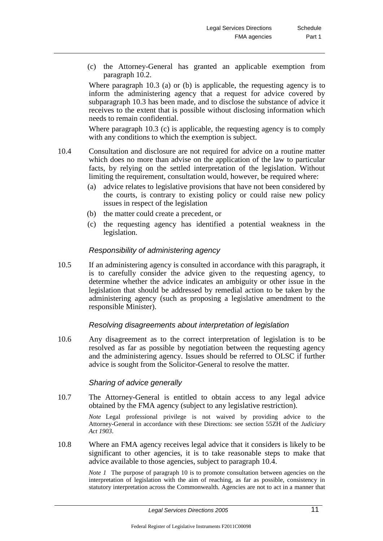(c) the Attorney-General has granted an applicable exemption from paragraph 10.2.

Where paragraph 10.3 (a) or (b) is applicable, the requesting agency is to inform the administering agency that a request for advice covered by subparagraph 10.3 has been made, and to disclose the substance of advice it receives to the extent that is possible without disclosing information which needs to remain confidential.

Where paragraph 10.3 (c) is applicable, the requesting agency is to comply with any conditions to which the exemption is subject.

- 10.4 Consultation and disclosure are not required for advice on a routine matter which does no more than advise on the application of the law to particular facts, by relying on the settled interpretation of the legislation. Without limiting the requirement, consultation would, however, be required where:
	- (a) advice relates to legislative provisions that have not been considered by the courts, is contrary to existing policy or could raise new policy issues in respect of the legislation
	- (b) the matter could create a precedent, or
	- (c) the requesting agency has identified a potential weakness in the legislation.

#### *Responsibility of administering agency*

10.5 If an administering agency is consulted in accordance with this paragraph, it is to carefully consider the advice given to the requesting agency, to determine whether the advice indicates an ambiguity or other issue in the legislation that should be addressed by remedial action to be taken by the administering agency (such as proposing a legislative amendment to the responsible Minister).

#### *Resolving disagreements about interpretation of legislation*

10.6 Any disagreement as to the correct interpretation of legislation is to be resolved as far as possible by negotiation between the requesting agency and the administering agency. Issues should be referred to OLSC if further advice is sought from the Solicitor-General to resolve the matter.

#### *Sharing of advice generally*

10.7 The Attorney-General is entitled to obtain access to any legal advice obtained by the FMA agency (subject to any legislative restriction).

> *Note* Legal professional privilege is not waived by providing advice to the Attorney-General in accordance with these Directions: see section 55ZH of the *Judiciary Act 1903*.

10.8 Where an FMA agency receives legal advice that it considers is likely to be significant to other agencies, it is to take reasonable steps to make that advice available to those agencies, subject to paragraph 10.4.

> *Note 1* The purpose of paragraph 10 is to promote consultation between agencies on the interpretation of legislation with the aim of reaching, as far as possible, consistency in statutory interpretation across the Commonwealth. Agencies are not to act in a manner that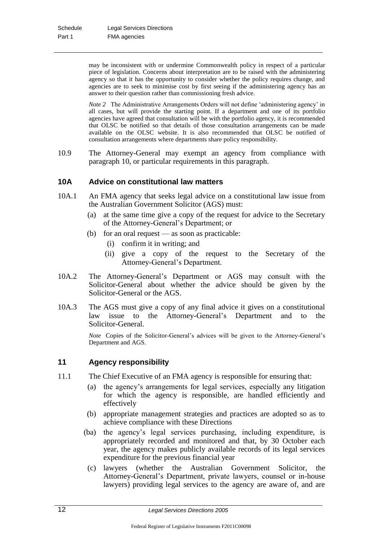may be inconsistent with or undermine Commonwealth policy in respect of a particular piece of legislation. Concerns about interpretation are to be raised with the administering agency so that it has the opportunity to consider whether the policy requires change, and agencies are to seek to minimise cost by first seeing if the administering agency has an answer to their question rather than commissioning fresh advice.

*Note 2* The Administrative Arrangements Orders will not define 'administering agency' in all cases, but will provide the starting point. If a department and one of its portfolio agencies have agreed that consultation will be with the portfolio agency, it is recommended that OLSC be notified so that details of those consultation arrangements can be made available on the OLSC website. It is also recommended that OLSC be notified of consultation arrangements where departments share policy responsibility.

10.9 The Attorney-General may exempt an agency from compliance with paragraph 10, or particular requirements in this paragraph.

## **10A Advice on constitutional law matters**

- 10A.1 An FMA agency that seeks legal advice on a constitutional law issue from the Australian Government Solicitor (AGS) must:
	- (a) at the same time give a copy of the request for advice to the Secretary of the Attorney-General's Department; or
	- (b) for an oral request as soon as practicable:
		- (i) confirm it in writing; and
		- (ii) give a copy of the request to the Secretary of the Attorney-General's Department.
- 10A.2 The Attorney-General's Department or AGS may consult with the Solicitor-General about whether the advice should be given by the Solicitor-General or the AGS.
- 10A.3 The AGS must give a copy of any final advice it gives on a constitutional law issue to the Attorney-General's Department and to the Solicitor-General.

*Note* Copies of the Solicitor-General's advices will be given to the Attorney-General's Department and AGS.

## **11 Agency responsibility**

- 11.1 The Chief Executive of an FMA agency is responsible for ensuring that:
	- (a) the agency's arrangements for legal services, especially any litigation for which the agency is responsible, are handled efficiently and effectively
	- (b) appropriate management strategies and practices are adopted so as to achieve compliance with these Directions
	- (ba) the agency's legal services purchasing, including expenditure, is appropriately recorded and monitored and that, by 30 October each year, the agency makes publicly available records of its legal services expenditure for the previous financial year
	- (c) lawyers (whether the Australian Government Solicitor, the Attorney-General's Department, private lawyers, counsel or in-house lawyers) providing legal services to the agency are aware of, and are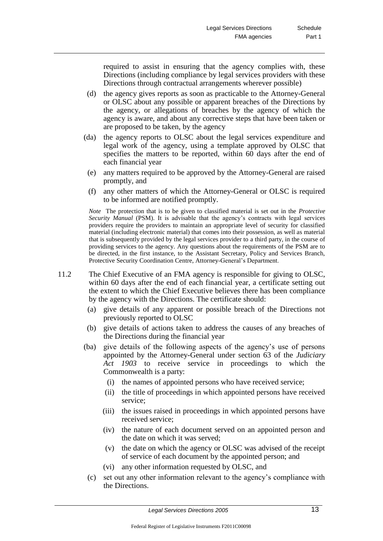required to assist in ensuring that the agency complies with, these Directions (including compliance by legal services providers with these Directions through contractual arrangements wherever possible)

- (d) the agency gives reports as soon as practicable to the Attorney-General or OLSC about any possible or apparent breaches of the Directions by the agency, or allegations of breaches by the agency of which the agency is aware, and about any corrective steps that have been taken or are proposed to be taken, by the agency
- (da) the agency reports to OLSC about the legal services expenditure and legal work of the agency, using a template approved by OLSC that specifies the matters to be reported, within 60 days after the end of each financial year
- (e) any matters required to be approved by the Attorney-General are raised promptly, and
- (f) any other matters of which the Attorney-General or OLSC is required to be informed are notified promptly.

*Note* The protection that is to be given to classified material is set out in the *Protective Security Manual* (PSM). It is advisable that the agency's contracts with legal services providers require the providers to maintain an appropriate level of security for classified material (including electronic material) that comes into their possession, as well as material that is subsequently provided by the legal services provider to a third party, in the course of providing services to the agency. Any questions about the requirements of the PSM are to be directed, in the first instance, to the Assistant Secretary, Policy and Services Branch, Protective Security Coordination Centre, Attorney-General's Department.

- 11.2 The Chief Executive of an FMA agency is responsible for giving to OLSC, within 60 days after the end of each financial year, a certificate setting out the extent to which the Chief Executive believes there has been compliance by the agency with the Directions. The certificate should:
	- (a) give details of any apparent or possible breach of the Directions not previously reported to OLSC
	- (b) give details of actions taken to address the causes of any breaches of the Directions during the financial year
	- (ba) give details of the following aspects of the agency's use of persons appointed by the Attorney-General under section 63 of the *Judiciary Act 1903* to receive service in proceedings to which the Commonwealth is a party:
		- (i) the names of appointed persons who have received service;
		- (ii) the title of proceedings in which appointed persons have received service;
		- (iii) the issues raised in proceedings in which appointed persons have received service;
		- (iv) the nature of each document served on an appointed person and the date on which it was served;
		- (v) the date on which the agency or OLSC was advised of the receipt of service of each document by the appointed person; and
		- (vi) any other information requested by OLSC, and
	- (c) set out any other information relevant to the agency's compliance with the Directions.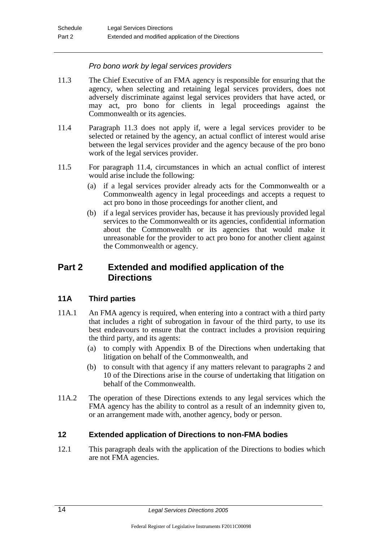## *Pro bono work by legal services providers*

- 11.3 The Chief Executive of an FMA agency is responsible for ensuring that the agency, when selecting and retaining legal services providers, does not adversely discriminate against legal services providers that have acted, or may act, pro bono for clients in legal proceedings against the Commonwealth or its agencies.
- 11.4 Paragraph 11.3 does not apply if, were a legal services provider to be selected or retained by the agency, an actual conflict of interest would arise between the legal services provider and the agency because of the pro bono work of the legal services provider.
- 11.5 For paragraph 11.4, circumstances in which an actual conflict of interest would arise include the following:
	- (a) if a legal services provider already acts for the Commonwealth or a Commonwealth agency in legal proceedings and accepts a request to act pro bono in those proceedings for another client, and
	- (b) if a legal services provider has, because it has previously provided legal services to the Commonwealth or its agencies, confidential information about the Commonwealth or its agencies that would make it unreasonable for the provider to act pro bono for another client against the Commonwealth or agency.

## **Part 2 Extended and modified application of the Directions**

## **11A Third parties**

- 11A.1 An FMA agency is required, when entering into a contract with a third party that includes a right of subrogation in favour of the third party, to use its best endeavours to ensure that the contract includes a provision requiring the third party, and its agents:
	- (a) to comply with Appendix B of the Directions when undertaking that litigation on behalf of the Commonwealth, and
	- (b) to consult with that agency if any matters relevant to paragraphs 2 and 10 of the Directions arise in the course of undertaking that litigation on behalf of the Commonwealth.
- 11A.2 The operation of these Directions extends to any legal services which the FMA agency has the ability to control as a result of an indemnity given to, or an arrangement made with, another agency, body or person.

## **12 Extended application of Directions to non-FMA bodies**

12.1 This paragraph deals with the application of the Directions to bodies which are not FMA agencies.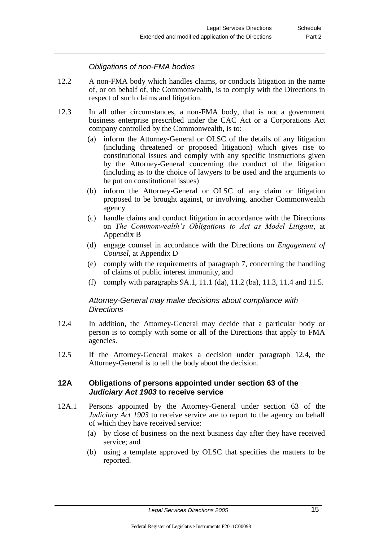## *Obligations of non-FMA bodies*

- 12.2 A non-FMA body which handles claims, or conducts litigation in the name of, or on behalf of, the Commonwealth, is to comply with the Directions in respect of such claims and litigation.
- 12.3 In all other circumstances, a non-FMA body, that is not a government business enterprise prescribed under the CAC Act or a Corporations Act company controlled by the Commonwealth, is to:
	- (a) inform the Attorney-General or OLSC of the details of any litigation (including threatened or proposed litigation) which gives rise to constitutional issues and comply with any specific instructions given by the Attorney-General concerning the conduct of the litigation (including as to the choice of lawyers to be used and the arguments to be put on constitutional issues)
	- (b) inform the Attorney-General or OLSC of any claim or litigation proposed to be brought against, or involving, another Commonwealth agency
	- (c) handle claims and conduct litigation in accordance with the Directions on *The Commonwealth's Obligations to Act as Model Litigant*, at Appendix B
	- (d) engage counsel in accordance with the Directions on *Engagement of Counsel*, at Appendix D
	- (e) comply with the requirements of paragraph 7, concerning the handling of claims of public interest immunity, and
	- (f) comply with paragraphs 9A.1, 11.1 (da), 11.2 (ba), 11.3, 11.4 and 11.5.

## *Attorney-General may make decisions about compliance with Directions*

- 12.4 In addition, the Attorney-General may decide that a particular body or person is to comply with some or all of the Directions that apply to FMA agencies.
- 12.5 If the Attorney-General makes a decision under paragraph 12.4, the Attorney-General is to tell the body about the decision.

#### **12A Obligations of persons appointed under section 63 of the**  *Judiciary Act 1903* **to receive service**

- 12A.1 Persons appointed by the Attorney-General under section 63 of the *Judiciary Act 1903* to receive service are to report to the agency on behalf of which they have received service:
	- (a) by close of business on the next business day after they have received service; and
	- (b) using a template approved by OLSC that specifies the matters to be reported.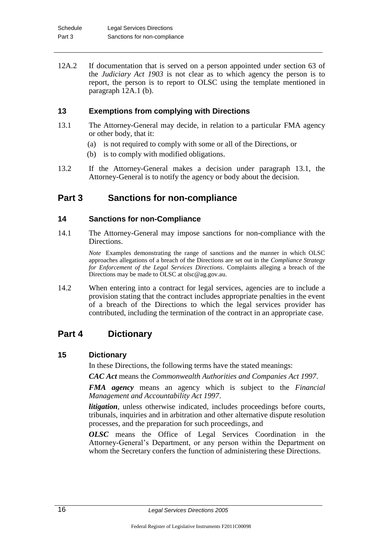12A.2 If documentation that is served on a person appointed under section 63 of the *Judiciary Act 1903* is not clear as to which agency the person is to report, the person is to report to OLSC using the template mentioned in paragraph 12A.1 (b).

## **13 Exemptions from complying with Directions**

- 13.1 The Attorney-General may decide, in relation to a particular FMA agency or other body, that it:
	- (a) is not required to comply with some or all of the Directions, or
	- (b) is to comply with modified obligations.
- 13.2 If the Attorney-General makes a decision under paragraph 13.1, the Attorney-General is to notify the agency or body about the decision.

## **Part 3 Sanctions for non-compliance**

## **14 Sanctions for non-Compliance**

14.1 The Attorney-General may impose sanctions for non-compliance with the Directions.

> *Note* Examples demonstrating the range of sanctions and the manner in which OLSC approaches allegations of a breach of the Directions are set out in the *Compliance Strategy for Enforcement of the Legal Services Directions*. Complaints alleging a breach of the Directions may be made to OLSC at olsc@ag.gov.au.

14.2 When entering into a contract for legal services, agencies are to include a provision stating that the contract includes appropriate penalties in the event of a breach of the Directions to which the legal services provider has contributed, including the termination of the contract in an appropriate case.

## **Part 4 Dictionary**

#### **15 Dictionary**

In these Directions, the following terms have the stated meanings:

*CAC Act* means the *Commonwealth Authorities and Companies Act 1997*.

*FMA agency* means an agency which is subject to the *Financial Management and Accountability Act 1997*.

*litigation*, unless otherwise indicated, includes proceedings before courts, tribunals, inquiries and in arbitration and other alternative dispute resolution processes, and the preparation for such proceedings, and

*OLSC* means the Office of Legal Services Coordination in the Attorney-General's Department, or any person within the Department on whom the Secretary confers the function of administering these Directions.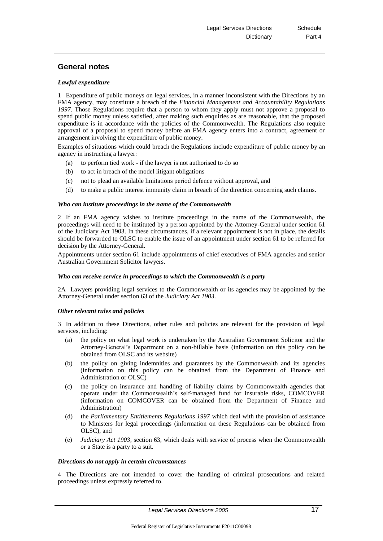## **General notes**

#### *Lawful expenditure*

1 Expenditure of public moneys on legal services, in a manner inconsistent with the Directions by an FMA agency, may constitute a breach of the *Financial Management and Accountability Regulations 1997*. Those Regulations require that a person to whom they apply must not approve a proposal to spend public money unless satisfied, after making such enquiries as are reasonable, that the proposed expenditure is in accordance with the policies of the Commonwealth. The Regulations also require approval of a proposal to spend money before an FMA agency enters into a contract, agreement or arrangement involving the expenditure of public money.

Examples of situations which could breach the Regulations include expenditure of public money by an agency in instructing a lawyer:

- (a) to perform tied work if the lawyer is not authorised to do so
- (b) to act in breach of the model litigant obligations
- (c) not to plead an available limitations period defence without approval, and
- (d) to make a public interest immunity claim in breach of the direction concerning such claims.

#### *Who can institute proceedings in the name of the Commonwealth*

2 If an FMA agency wishes to institute proceedings in the name of the Commonwealth, the proceedings will need to be instituted by a person appointed by the Attorney-General under section 61 of the Judiciary Act 1903. In these circumstances, if a relevant appointment is not in place, the details should be forwarded to OLSC to enable the issue of an appointment under section 61 to be referred for decision by the Attorney-General.

Appointments under section 61 include appointments of chief executives of FMA agencies and senior Australian Government Solicitor lawyers.

#### *Who can receive service in proceedings to which the Commonwealth is a party*

2A Lawyers providing legal services to the Commonwealth or its agencies may be appointed by the Attorney-General under section 63 of the *Judiciary Act 1903*.

#### *Other relevant rules and policies*

3 In addition to these Directions, other rules and policies are relevant for the provision of legal services, including:

- (a) the policy on what legal work is undertaken by the Australian Government Solicitor and the Attorney-General's Department on a non-billable basis (information on this policy can be obtained from OLSC and its website)
- (b) the policy on giving indemnities and guarantees by the Commonwealth and its agencies (information on this policy can be obtained from the Department of Finance and Administration or OLSC)
- (c) the policy on insurance and handling of liability claims by Commonwealth agencies that operate under the Commonwealth's self-managed fund for insurable risks, COMCOVER (information on COMCOVER can be obtained from the Department of Finance and Administration)
- (d) the *Parliamentary Entitlements Regulations 1997* which deal with the provision of assistance to Ministers for legal proceedings (information on these Regulations can be obtained from OLSC), and
- (e) *Judiciary Act 1903*, section 63, which deals with service of process when the Commonwealth or a State is a party to a suit.

#### *Directions do not apply in certain circumstances*

4 The Directions are not intended to cover the handling of criminal prosecutions and related proceedings unless expressly referred to.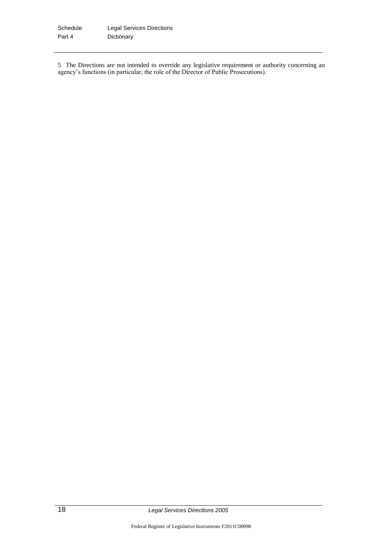5 The Directions are not intended to override any legislative requirement or authority concerning an agency's functions (in particular, the role of the Director of Public Prosecutions).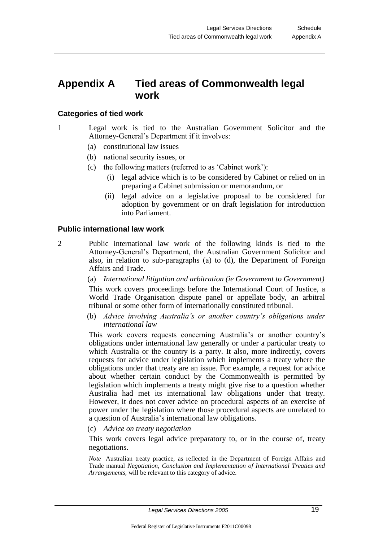## **Appendix A Tied areas of Commonwealth legal work**

## **Categories of tied work**

- 1 Legal work is tied to the Australian Government Solicitor and the Attorney-General's Department if it involves:
	- (a) constitutional law issues
	- (b) national security issues, or
	- (c) the following matters (referred to as 'Cabinet work'):
		- (i) legal advice which is to be considered by Cabinet or relied on in preparing a Cabinet submission or memorandum, or
		- (ii) legal advice on a legislative proposal to be considered for adoption by government or on draft legislation for introduction into Parliament.

#### **Public international law work**

2 Public international law work of the following kinds is tied to the Attorney-General's Department, the Australian Government Solicitor and also, in relation to sub-paragraphs (a) to (d), the Department of Foreign Affairs and Trade.

> (a) *International litigation and arbitration (ie Government to Government)* This work covers proceedings before the International Court of Justice, a World Trade Organisation dispute panel or appellate body, an arbitral tribunal or some other form of internationally constituted tribunal.

> (b) *Advice involving Australia's or another country's obligations under international law*

> This work covers requests concerning Australia's or another country's obligations under international law generally or under a particular treaty to which Australia or the country is a party. It also, more indirectly, covers requests for advice under legislation which implements a treaty where the obligations under that treaty are an issue. For example, a request for advice about whether certain conduct by the Commonwealth is permitted by legislation which implements a treaty might give rise to a question whether Australia had met its international law obligations under that treaty. However, it does not cover advice on procedural aspects of an exercise of power under the legislation where those procedural aspects are unrelated to a question of Australia's international law obligations.

(c) *Advice on treaty negotiation*

This work covers legal advice preparatory to, or in the course of, treaty negotiations.

*Note* Australian treaty practice, as reflected in the Department of Foreign Affairs and Trade manual *Negotiation, Conclusion and Implementation of International Treaties and Arrangements,* will be relevant to this category of advice.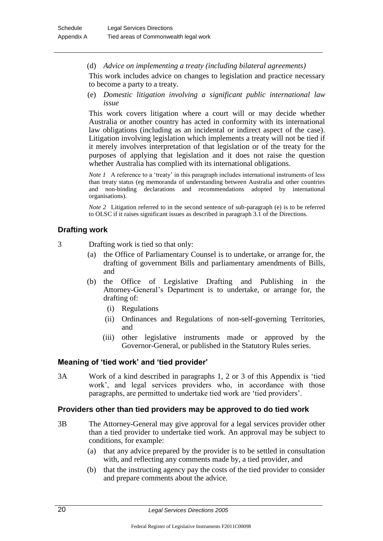(d) *Advice on implementing a treaty (including bilateral agreements)*

This work includes advice on changes to legislation and practice necessary to become a party to a treaty.

(e) *Domestic litigation involving a significant public international law issue*

This work covers litigation where a court will or may decide whether Australia or another country has acted in conformity with its international law obligations (including as an incidental or indirect aspect of the case). Litigation involving legislation which implements a treaty will not be tied if it merely involves interpretation of that legislation or of the treaty for the purposes of applying that legislation and it does not raise the question whether Australia has complied with its international obligations.

*Note 1* A reference to a 'treaty' in this paragraph includes international instruments of less than treaty status (eg memoranda of understanding between Australia and other countries and non-binding declarations and recommendations adopted by international organisations).

*Note 2* Litigation referred to in the second sentence of sub-paragraph (e) is to be referred to OLSC if it raises significant issues as described in paragraph 3.1 of the Directions.

## **Drafting work**

3 Drafting work is tied so that only:

- (a) the Office of Parliamentary Counsel is to undertake, or arrange for, the drafting of government Bills and parliamentary amendments of Bills, and
- (b) the Office of Legislative Drafting and Publishing in the Attorney-General's Department is to undertake, or arrange for, the drafting of:
	- (i) Regulations
	- (ii) Ordinances and Regulations of non-self-governing Territories, and
	- (iii) other legislative instruments made or approved by the Governor-General, or published in the Statutory Rules series.

#### **Meaning of 'tied work' and 'tied provider'**

3A Work of a kind described in paragraphs 1, 2 or 3 of this Appendix is 'tied work', and legal services providers who, in accordance with those paragraphs, are permitted to undertake tied work are 'tied providers'.

#### **Providers other than tied providers may be approved to do tied work**

- 3B The Attorney-General may give approval for a legal services provider other than a tied provider to undertake tied work. An approval may be subject to conditions, for example:
	- (a) that any advice prepared by the provider is to be settled in consultation with, and reflecting any comments made by, a tied provider, and
	- (b) that the instructing agency pay the costs of the tied provider to consider and prepare comments about the advice.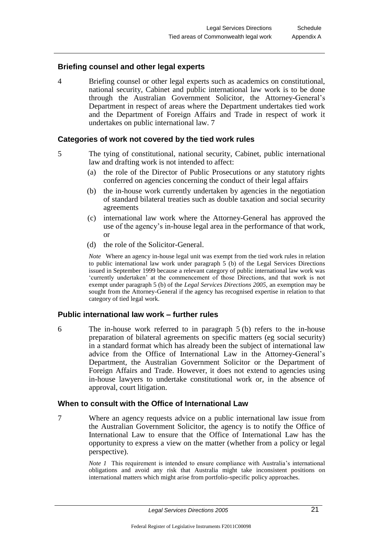#### **Briefing counsel and other legal experts**

4 Briefing counsel or other legal experts such as academics on constitutional, national security, Cabinet and public international law work is to be done through the Australian Government Solicitor, the Attorney-General's Department in respect of areas where the Department undertakes tied work and the Department of Foreign Affairs and Trade in respect of work it undertakes on public international law. 7

#### **Categories of work not covered by the tied work rules**

- 5 The tying of constitutional, national security, Cabinet, public international law and drafting work is not intended to affect:
	- (a) the role of the Director of Public Prosecutions or any statutory rights conferred on agencies concerning the conduct of their legal affairs
	- (b) the in-house work currently undertaken by agencies in the negotiation of standard bilateral treaties such as double taxation and social security agreements
	- (c) international law work where the Attorney-General has approved the use of the agency's in-house legal area in the performance of that work, or
	- (d) the role of the Solicitor-General.

*Note* Where an agency in-house legal unit was exempt from the tied work rules in relation to public international law work under paragraph  $5$  (b) of the Legal Services Directions issued in September 1999 because a relevant category of public international law work was 'currently undertaken' at the commencement of those Directions, and that work is not exempt under paragraph 5 (b) of the *Legal Services Directions 2005*, an exemption may be sought from the Attorney-General if the agency has recognised expertise in relation to that category of tied legal work.

#### **Public international law work – further rules**

6 The in-house work referred to in paragraph 5 (b) refers to the in-house preparation of bilateral agreements on specific matters (eg social security) in a standard format which has already been the subject of international law advice from the Office of International Law in the Attorney-General's Department, the Australian Government Solicitor or the Department of Foreign Affairs and Trade. However, it does not extend to agencies using in-house lawyers to undertake constitutional work or, in the absence of approval, court litigation.

#### **When to consult with the Office of International Law**

7 Where an agency requests advice on a public international law issue from the Australian Government Solicitor, the agency is to notify the Office of International Law to ensure that the Office of International Law has the opportunity to express a view on the matter (whether from a policy or legal perspective).

> *Note 1* This requirement is intended to ensure compliance with Australia's international obligations and avoid any risk that Australia might take inconsistent positions on international matters which might arise from portfolio-specific policy approaches.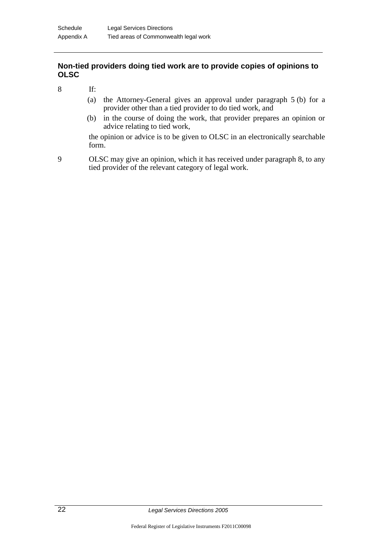## **Non-tied providers doing tied work are to provide copies of opinions to OLSC**

- 8 If:
	- (a) the Attorney-General gives an approval under paragraph 5 (b) for a provider other than a tied provider to do tied work, and
	- (b) in the course of doing the work, that provider prepares an opinion or advice relating to tied work,

the opinion or advice is to be given to OLSC in an electronically searchable form.

9 OLSC may give an opinion, which it has received under paragraph 8, to any tied provider of the relevant category of legal work.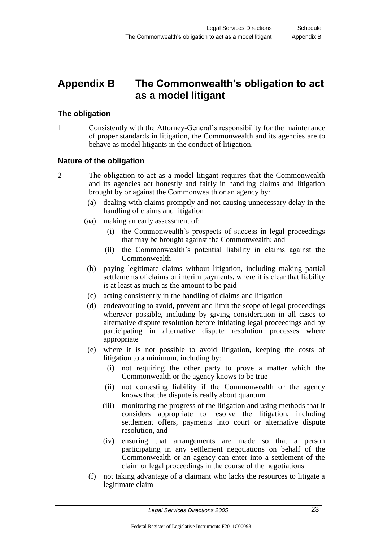## **Appendix B The Commonwealth's obligation to act as a model litigant**

## **The obligation**

1 Consistently with the Attorney-General's responsibility for the maintenance of proper standards in litigation, the Commonwealth and its agencies are to behave as model litigants in the conduct of litigation.

## **Nature of the obligation**

- 2 The obligation to act as a model litigant requires that the Commonwealth and its agencies act honestly and fairly in handling claims and litigation brought by or against the Commonwealth or an agency by:
	- (a) dealing with claims promptly and not causing unnecessary delay in the handling of claims and litigation
	- (aa) making an early assessment of:
		- (i) the Commonwealth's prospects of success in legal proceedings that may be brought against the Commonwealth; and
		- (ii) the Commonwealth's potential liability in claims against the Commonwealth
	- (b) paying legitimate claims without litigation, including making partial settlements of claims or interim payments, where it is clear that liability is at least as much as the amount to be paid
	- (c) acting consistently in the handling of claims and litigation
	- (d) endeavouring to avoid, prevent and limit the scope of legal proceedings wherever possible, including by giving consideration in all cases to alternative dispute resolution before initiating legal proceedings and by participating in alternative dispute resolution processes where appropriate
	- (e) where it is not possible to avoid litigation, keeping the costs of litigation to a minimum, including by:
		- (i) not requiring the other party to prove a matter which the Commonwealth or the agency knows to be true
		- (ii) not contesting liability if the Commonwealth or the agency knows that the dispute is really about quantum
		- (iii) monitoring the progress of the litigation and using methods that it considers appropriate to resolve the litigation, including settlement offers, payments into court or alternative dispute resolution, and
		- (iv) ensuring that arrangements are made so that a person participating in any settlement negotiations on behalf of the Commonwealth or an agency can enter into a settlement of the claim or legal proceedings in the course of the negotiations
	- (f) not taking advantage of a claimant who lacks the resources to litigate a legitimate claim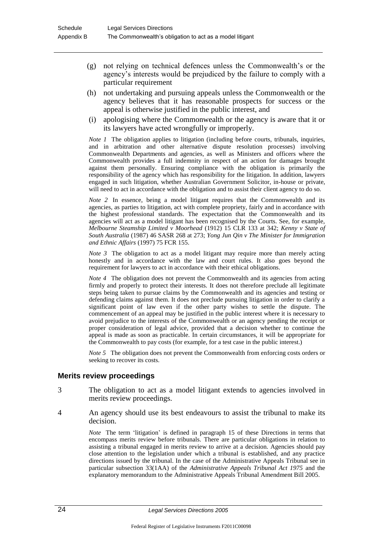- (g) not relying on technical defences unless the Commonwealth's or the agency's interests would be prejudiced by the failure to comply with a particular requirement
- (h) not undertaking and pursuing appeals unless the Commonwealth or the agency believes that it has reasonable prospects for success or the appeal is otherwise justified in the public interest, and
- (i) apologising where the Commonwealth or the agency is aware that it or its lawyers have acted wrongfully or improperly.

*Note 1* The obligation applies to litigation (including before courts, tribunals, inquiries, and in arbitration and other alternative dispute resolution processes) involving Commonwealth Departments and agencies, as well as Ministers and officers where the Commonwealth provides a full indemnity in respect of an action for damages brought against them personally. Ensuring compliance with the obligation is primarily the responsibility of the agency which has responsibility for the litigation. In addition, lawyers engaged in such litigation, whether Australian Government Solicitor, in-house or private, will need to act in accordance with the obligation and to assist their client agency to do so.

*Note 2* In essence, being a model litigant requires that the Commonwealth and its agencies, as parties to litigation, act with complete propriety, fairly and in accordance with the highest professional standards. The expectation that the Commonwealth and its agencies will act as a model litigant has been recognised by the Courts. See, for example, *Melbourne Steamship Limited v Moorhead* (1912) 15 CLR 133 at 342; *Kenny v State of South Australia* (1987) 46 SASR 268 at 273; *Yong Jun Qin v The Minister for Immigration and Ethnic Affairs* (1997) 75 FCR 155.

*Note 3* The obligation to act as a model litigant may require more than merely acting honestly and in accordance with the law and court rules. It also goes beyond the requirement for lawyers to act in accordance with their ethical obligations.

*Note 4* The obligation does not prevent the Commonwealth and its agencies from acting firmly and properly to protect their interests. It does not therefore preclude all legitimate steps being taken to pursue claims by the Commonwealth and its agencies and testing or defending claims against them. It does not preclude pursuing litigation in order to clarify a significant point of law even if the other party wishes to settle the dispute. The commencement of an appeal may be justified in the public interest where it is necessary to avoid prejudice to the interests of the Commonwealth or an agency pending the receipt or proper consideration of legal advice, provided that a decision whether to continue the appeal is made as soon as practicable. In certain circumstances, it will be appropriate for the Commonwealth to pay costs (for example, for a test case in the public interest.)

*Note 5* The obligation does not prevent the Commonwealth from enforcing costs orders or seeking to recover its costs.

#### **Merits review proceedings**

- 3 The obligation to act as a model litigant extends to agencies involved in merits review proceedings.
- 4 An agency should use its best endeavours to assist the tribunal to make its decision.

*Note* The term 'litigation' is defined in paragraph 15 of these Directions in terms that encompass merits review before tribunals. There are particular obligations in relation to assisting a tribunal engaged in merits review to arrive at a decision. Agencies should pay close attention to the legislation under which a tribunal is established, and any practice directions issued by the tribunal. In the case of the Administrative Appeals Tribunal see in particular subsection 33(1AA) of the *Administrative Appeals Tribunal Act 1975* and the explanatory memorandum to the Administrative Appeals Tribunal Amendment Bill 2005.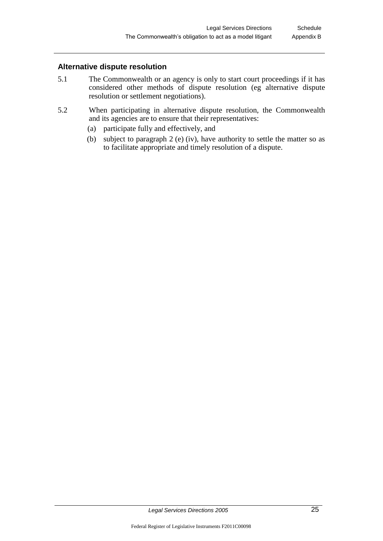## **Alternative dispute resolution**

- 5.1 The Commonwealth or an agency is only to start court proceedings if it has considered other methods of dispute resolution (eg alternative dispute resolution or settlement negotiations).
- 5.2 When participating in alternative dispute resolution, the Commonwealth and its agencies are to ensure that their representatives:
	- (a) participate fully and effectively, and
	- (b) subject to paragraph 2 (e) (iv), have authority to settle the matter so as to facilitate appropriate and timely resolution of a dispute.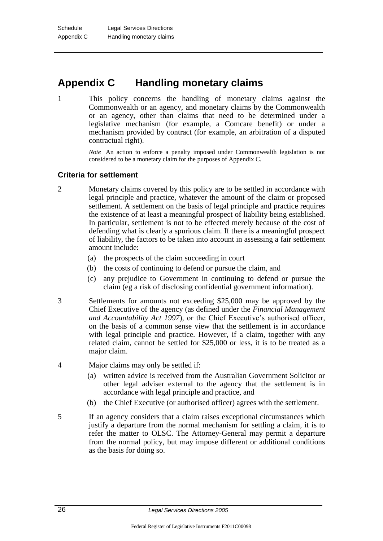## **Appendix C Handling monetary claims**

1 This policy concerns the handling of monetary claims against the Commonwealth or an agency, and monetary claims by the Commonwealth or an agency, other than claims that need to be determined under a legislative mechanism (for example, a Comcare benefit) or under a mechanism provided by contract (for example, an arbitration of a disputed contractual right).

> *Note* An action to enforce a penalty imposed under Commonwealth legislation is not considered to be a monetary claim for the purposes of Appendix C.

## **Criteria for settlement**

- 2 Monetary claims covered by this policy are to be settled in accordance with legal principle and practice, whatever the amount of the claim or proposed settlement. A settlement on the basis of legal principle and practice requires the existence of at least a meaningful prospect of liability being established. In particular, settlement is not to be effected merely because of the cost of defending what is clearly a spurious claim. If there is a meaningful prospect of liability, the factors to be taken into account in assessing a fair settlement amount include:
	- (a) the prospects of the claim succeeding in court
	- (b) the costs of continuing to defend or pursue the claim, and
	- (c) any prejudice to Government in continuing to defend or pursue the claim (eg a risk of disclosing confidential government information).
- 3 Settlements for amounts not exceeding \$25,000 may be approved by the Chief Executive of the agency (as defined under the *Financial Management and Accountability Act 1997*), or the Chief Executive's authorised officer, on the basis of a common sense view that the settlement is in accordance with legal principle and practice. However, if a claim, together with any related claim, cannot be settled for \$25,000 or less, it is to be treated as a major claim.
- 4 Major claims may only be settled if:
	- (a) written advice is received from the Australian Government Solicitor or other legal adviser external to the agency that the settlement is in accordance with legal principle and practice, and
	- (b) the Chief Executive (or authorised officer) agrees with the settlement.
- 5 If an agency considers that a claim raises exceptional circumstances which justify a departure from the normal mechanism for settling a claim, it is to refer the matter to OLSC. The Attorney-General may permit a departure from the normal policy, but may impose different or additional conditions as the basis for doing so.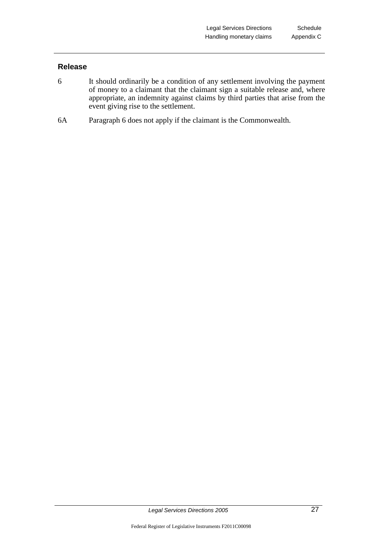## **Release**

- 6 It should ordinarily be a condition of any settlement involving the payment of money to a claimant that the claimant sign a suitable release and, where appropriate, an indemnity against claims by third parties that arise from the event giving rise to the settlement.
- 6A Paragraph 6 does not apply if the claimant is the Commonwealth.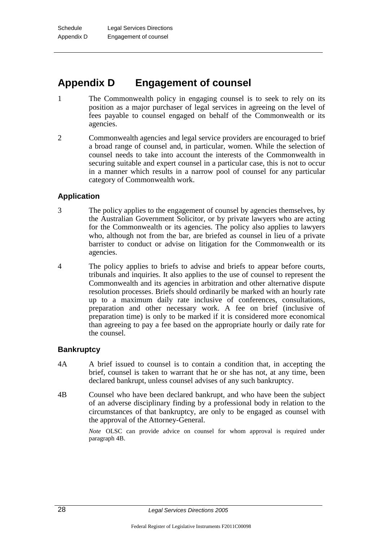## **Appendix D Engagement of counsel**

- 1 The Commonwealth policy in engaging counsel is to seek to rely on its position as a major purchaser of legal services in agreeing on the level of fees payable to counsel engaged on behalf of the Commonwealth or its agencies.
- 2 Commonwealth agencies and legal service providers are encouraged to brief a broad range of counsel and, in particular, women. While the selection of counsel needs to take into account the interests of the Commonwealth in securing suitable and expert counsel in a particular case, this is not to occur in a manner which results in a narrow pool of counsel for any particular category of Commonwealth work.

## **Application**

- 3 The policy applies to the engagement of counsel by agencies themselves, by the Australian Government Solicitor, or by private lawyers who are acting for the Commonwealth or its agencies. The policy also applies to lawyers who, although not from the bar, are briefed as counsel in lieu of a private barrister to conduct or advise on litigation for the Commonwealth or its agencies.
- 4 The policy applies to briefs to advise and briefs to appear before courts, tribunals and inquiries. It also applies to the use of counsel to represent the Commonwealth and its agencies in arbitration and other alternative dispute resolution processes. Briefs should ordinarily be marked with an hourly rate up to a maximum daily rate inclusive of conferences, consultations, preparation and other necessary work. A fee on brief (inclusive of preparation time) is only to be marked if it is considered more economical than agreeing to pay a fee based on the appropriate hourly or daily rate for the counsel.

#### **Bankruptcy**

- 4A A brief issued to counsel is to contain a condition that, in accepting the brief, counsel is taken to warrant that he or she has not, at any time, been declared bankrupt, unless counsel advises of any such bankruptcy.
- 4B Counsel who have been declared bankrupt, and who have been the subject of an adverse disciplinary finding by a professional body in relation to the circumstances of that bankruptcy, are only to be engaged as counsel with the approval of the Attorney-General.

*Note* OLSC can provide advice on counsel for whom approval is required under paragraph 4B.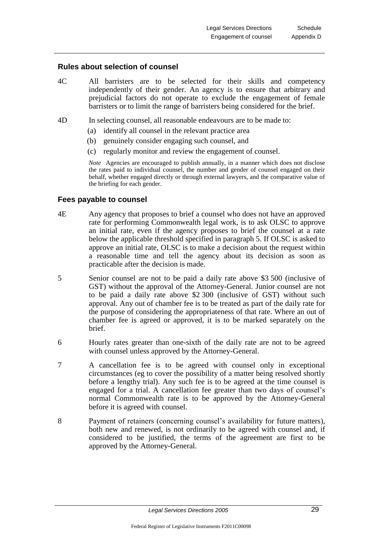#### **Rules about selection of counsel**

- 4C All barristers are to be selected for their skills and competency independently of their gender. An agency is to ensure that arbitrary and prejudicial factors do not operate to exclude the engagement of female barristers or to limit the range of barristers being considered for the brief.
- 4D In selecting counsel, all reasonable endeavours are to be made to:
	- (a) identify all counsel in the relevant practice area
	- (b) genuinely consider engaging such counsel, and
	- (c) regularly monitor and review the engagement of counsel.

*Note* Agencies are encouraged to publish annually, in a manner which does not disclose the rates paid to individual counsel, the number and gender of counsel engaged on their behalf, whether engaged directly or through external lawyers, and the comparative value of the briefing for each gender.

#### **Fees payable to counsel**

- 4E Any agency that proposes to brief a counsel who does not have an approved rate for performing Commonwealth legal work, is to ask OLSC to approve an initial rate, even if the agency proposes to brief the counsel at a rate below the applicable threshold specified in paragraph 5. If OLSC is asked to approve an initial rate, OLSC is to make a decision about the request within a reasonable time and tell the agency about its decision as soon as practicable after the decision is made.
- 5 Senior counsel are not to be paid a daily rate above \$3 500 (inclusive of GST) without the approval of the Attorney-General. Junior counsel are not to be paid a daily rate above \$2 300 (inclusive of GST) without such approval. Any out of chamber fee is to be treated as part of the daily rate for the purpose of considering the appropriateness of that rate. Where an out of chamber fee is agreed or approved, it is to be marked separately on the brief.
- 6 Hourly rates greater than one-sixth of the daily rate are not to be agreed with counsel unless approved by the Attorney-General.
- 7 A cancellation fee is to be agreed with counsel only in exceptional circumstances (eg to cover the possibility of a matter being resolved shortly before a lengthy trial). Any such fee is to be agreed at the time counsel is engaged for a trial. A cancellation fee greater than two days of counsel's normal Commonwealth rate is to be approved by the Attorney-General before it is agreed with counsel.
- 8 Payment of retainers (concerning counsel's availability for future matters), both new and renewed, is not ordinarily to be agreed with counsel and, if considered to be justified, the terms of the agreement are first to be approved by the Attorney-General.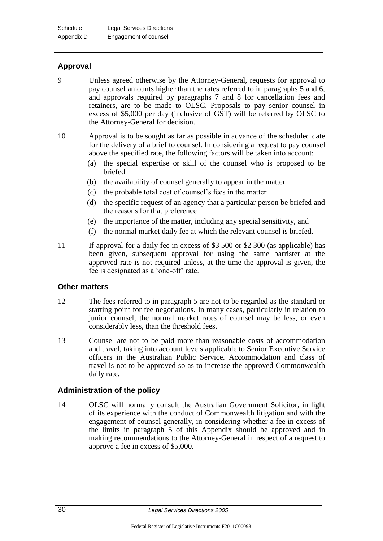## **Approval**

9 Unless agreed otherwise by the Attorney-General, requests for approval to pay counsel amounts higher than the rates referred to in paragraphs 5 and 6, and approvals required by paragraphs 7 and 8 for cancellation fees and retainers, are to be made to OLSC. Proposals to pay senior counsel in excess of \$5,000 per day (inclusive of GST) will be referred by OLSC to the Attorney-General for decision.

10 Approval is to be sought as far as possible in advance of the scheduled date for the delivery of a brief to counsel. In considering a request to pay counsel above the specified rate, the following factors will be taken into account:

- (a) the special expertise or skill of the counsel who is proposed to be briefed
- (b) the availability of counsel generally to appear in the matter
- (c) the probable total cost of counsel's fees in the matter
- (d) the specific request of an agency that a particular person be briefed and the reasons for that preference
- (e) the importance of the matter, including any special sensitivity, and
- (f) the normal market daily fee at which the relevant counsel is briefed.
- 11 If approval for a daily fee in excess of \$3 500 or \$2 300 (as applicable) has been given, subsequent approval for using the same barrister at the approved rate is not required unless, at the time the approval is given, the fee is designated as a 'one-off' rate.

## **Other matters**

- 12 The fees referred to in paragraph 5 are not to be regarded as the standard or starting point for fee negotiations. In many cases, particularly in relation to junior counsel, the normal market rates of counsel may be less, or even considerably less, than the threshold fees.
- 13 Counsel are not to be paid more than reasonable costs of accommodation and travel, taking into account levels applicable to Senior Executive Service officers in the Australian Public Service. Accommodation and class of travel is not to be approved so as to increase the approved Commonwealth daily rate.

## **Administration of the policy**

14 OLSC will normally consult the Australian Government Solicitor, in light of its experience with the conduct of Commonwealth litigation and with the engagement of counsel generally, in considering whether a fee in excess of the limits in paragraph 5 of this Appendix should be approved and in making recommendations to the Attorney-General in respect of a request to approve a fee in excess of \$5,000.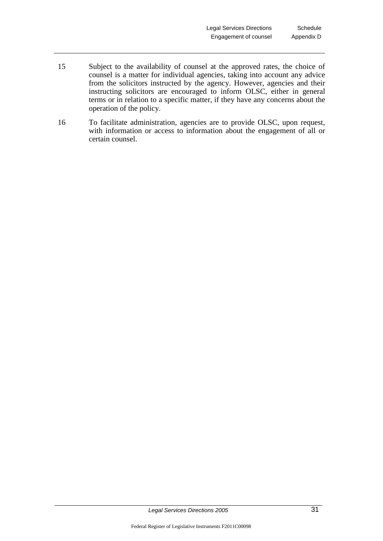- 15 Subject to the availability of counsel at the approved rates, the choice of counsel is a matter for individual agencies, taking into account any advice from the solicitors instructed by the agency. However, agencies and their instructing solicitors are encouraged to inform OLSC, either in general terms or in relation to a specific matter, if they have any concerns about the operation of the policy.
- 16 To facilitate administration, agencies are to provide OLSC, upon request, with information or access to information about the engagement of all or certain counsel.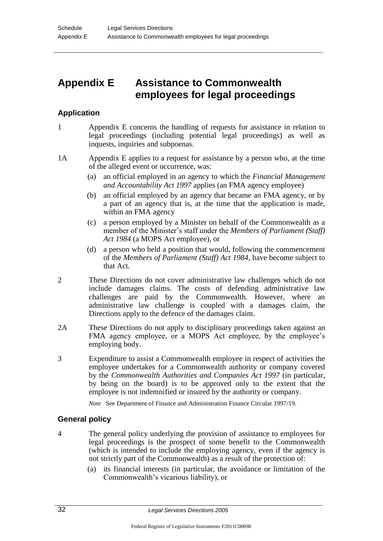## **Appendix E Assistance to Commonwealth employees for legal proceedings**

## **Application**

- 1 Appendix E concerns the handling of requests for assistance in relation to legal proceedings (including potential legal proceedings) as well as inquests, inquiries and subpoenas.
- 1A Appendix E applies to a request for assistance by a person who, at the time of the alleged event or occurrence, was:
	- (a) an official employed in an agency to which the *Financial Management and Accountability Act 1997* applies (an FMA agency employee)
	- (b) an official employed by an agency that became an FMA agency, or by a part of an agency that is, at the time that the application is made, within an FMA agency
	- (c) a person employed by a Minister on behalf of the Commonwealth as a member of the Minister's staff under the *Members of Parliament (Staff) Act 1984* (a MOPS Act employee), or
	- (d) a person who held a position that would, following the commencement of the *Members of Parliament (Staff) Act 1984*, have become subject to that Act.
- 2 These Directions do not cover administrative law challenges which do not include damages claims. The costs of defending administrative law challenges are paid by the Commonwealth. However, where an administrative law challenge is coupled with a damages claim, the Directions apply to the defence of the damages claim.
- 2A These Directions do not apply to disciplinary proceedings taken against an FMA agency employee, or a MOPS Act employee, by the employee's employing body.
- 3 Expenditure to assist a Commonwealth employee in respect of activities the employee undertakes for a Commonwealth authority or company covered by the *Commonwealth Authorities and Companies Act 1997* (in particular, by being on the board) is to be approved only to the extent that the employee is not indemnified or insured by the authority or company.

*Note* See Department of Finance and Administration Finance Circular 1997/19.

## **General policy**

- 4 The general policy underlying the provision of assistance to employees for legal proceedings is the prospect of some benefit to the Commonwealth (which is intended to include the employing agency, even if the agency is not strictly part of the Commonwealth) as a result of the protection of:
	- (a) its financial interests (in particular, the avoidance or limitation of the Commonwealth's vicarious liability), or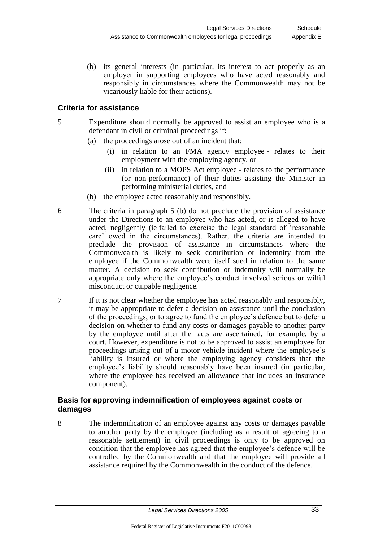(b) its general interests (in particular, its interest to act properly as an employer in supporting employees who have acted reasonably and responsibly in circumstances where the Commonwealth may not be vicariously liable for their actions).

## **Criteria for assistance**

- 5 Expenditure should normally be approved to assist an employee who is a defendant in civil or criminal proceedings if:
	- (a) the proceedings arose out of an incident that:
		- (i) in relation to an FMA agency employee relates to their employment with the employing agency, or
		- (ii) in relation to a MOPS Act employee relates to the performance (or non-performance) of their duties assisting the Minister in performing ministerial duties, and
	- (b) the employee acted reasonably and responsibly.
- 6 The criteria in paragraph 5 (b) do not preclude the provision of assistance under the Directions to an employee who has acted, or is alleged to have acted, negligently (ie failed to exercise the legal standard of 'reasonable care' owed in the circumstances). Rather, the criteria are intended to preclude the provision of assistance in circumstances where the Commonwealth is likely to seek contribution or indemnity from the employee if the Commonwealth were itself sued in relation to the same matter. A decision to seek contribution or indemnity will normally be appropriate only where the employee's conduct involved serious or wilful misconduct or culpable negligence.
- 7 If it is not clear whether the employee has acted reasonably and responsibly, it may be appropriate to defer a decision on assistance until the conclusion of the proceedings, or to agree to fund the employee's defence but to defer a decision on whether to fund any costs or damages payable to another party by the employee until after the facts are ascertained, for example, by a court. However, expenditure is not to be approved to assist an employee for proceedings arising out of a motor vehicle incident where the employee's liability is insured or where the employing agency considers that the employee's liability should reasonably have been insured (in particular, where the employee has received an allowance that includes an insurance component).

## **Basis for approving indemnification of employees against costs or damages**

8 The indemnification of an employee against any costs or damages payable to another party by the employee (including as a result of agreeing to a reasonable settlement) in civil proceedings is only to be approved on condition that the employee has agreed that the employee's defence will be controlled by the Commonwealth and that the employee will provide all assistance required by the Commonwealth in the conduct of the defence.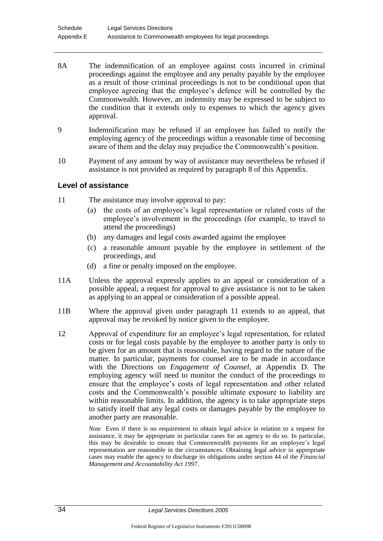- 8A The indemnification of an employee against costs incurred in criminal proceedings against the employee and any penalty payable by the employee as a result of those criminal proceedings is not to be conditional upon that employee agreeing that the employee's defence will be controlled by the Commonwealth. However, an indemnity may be expressed to be subject to the condition that it extends only to expenses to which the agency gives approval.
- 9 Indemnification may be refused if an employee has failed to notify the employing agency of the proceedings within a reasonable time of becoming aware of them and the delay may prejudice the Commonwealth's position.
- 10 Payment of any amount by way of assistance may nevertheless be refused if assistance is not provided as required by paragraph 8 of this Appendix.

## **Level of assistance**

- 11 The assistance may involve approval to pay:
	- (a) the costs of an employee's legal representation or related costs of the employee's involvement in the proceedings (for example, to travel to attend the proceedings)
	- (b) any damages and legal costs awarded against the employee
	- (c) a reasonable amount payable by the employee in settlement of the proceedings, and
	- (d) a fine or penalty imposed on the employee.
- 11A Unless the approval expressly applies to an appeal or consideration of a possible appeal, a request for approval to give assistance is not to be taken as applying to an appeal or consideration of a possible appeal.
- 11B Where the approval given under paragraph 11 extends to an appeal, that approval may be revoked by notice given to the employee.
- 12 Approval of expenditure for an employee's legal representation, for related costs or for legal costs payable by the employee to another party is only to be given for an amount that is reasonable, having regard to the nature of the matter. In particular, payments for counsel are to be made in accordance with the Directions on *Engagement of Counsel*, at Appendix D. The employing agency will need to monitor the conduct of the proceedings to ensure that the employee's costs of legal representation and other related costs and the Commonwealth's possible ultimate exposure to liability are within reasonable limits. In addition, the agency is to take appropriate steps to satisfy itself that any legal costs or damages payable by the employee to another party are reasonable.

*Note* Even if there is no requirement to obtain legal advice in relation to a request for assistance, it may be appropriate in particular cases for an agency to do so. In particular, this may be desirable to ensure that Commonwealth payments for an employee's legal representation are reasonable in the circumstances. Obtaining legal advice in appropriate cases may enable the agency to discharge its obligations under section 44 of the *Financial Management and Accountability Act 1997*.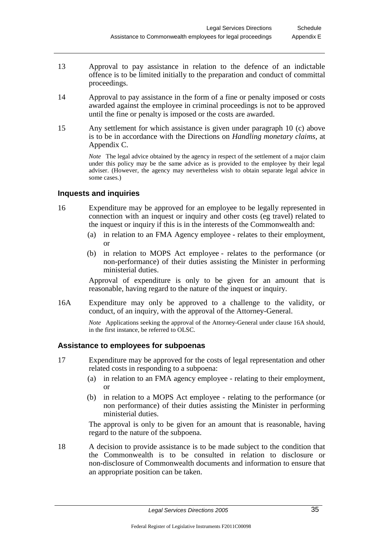- 13 Approval to pay assistance in relation to the defence of an indictable offence is to be limited initially to the preparation and conduct of committal proceedings.
- 14 Approval to pay assistance in the form of a fine or penalty imposed or costs awarded against the employee in criminal proceedings is not to be approved until the fine or penalty is imposed or the costs are awarded.
- 15 Any settlement for which assistance is given under paragraph 10 (c) above is to be in accordance with the Directions on *Handling monetary claims,* at Appendix C.

*Note* The legal advice obtained by the agency in respect of the settlement of a major claim under this policy may be the same advice as is provided to the employee by their legal adviser. (However, the agency may nevertheless wish to obtain separate legal advice in some cases.)

## **Inquests and inquiries**

- 16 Expenditure may be approved for an employee to be legally represented in connection with an inquest or inquiry and other costs (eg travel) related to the inquest or inquiry if this is in the interests of the Commonwealth and:
	- (a) in relation to an FMA Agency employee relates to their employment, or
	- (b) in relation to MOPS Act employee relates to the performance (or non-performance) of their duties assisting the Minister in performing ministerial duties.

Approval of expenditure is only to be given for an amount that is reasonable, having regard to the nature of the inquest or inquiry.

16A Expenditure may only be approved to a challenge to the validity, or conduct, of an inquiry, with the approval of the Attorney-General.

> *Note* Applications seeking the approval of the Attorney-General under clause 16A should, in the first instance, be referred to OLSC.

#### **Assistance to employees for subpoenas**

- 17 Expenditure may be approved for the costs of legal representation and other related costs in responding to a subpoena:
	- (a) in relation to an FMA agency employee relating to their employment, or
	- (b) in relation to a MOPS Act employee relating to the performance (or non performance) of their duties assisting the Minister in performing ministerial duties.

The approval is only to be given for an amount that is reasonable, having regard to the nature of the subpoena.

18 A decision to provide assistance is to be made subject to the condition that the Commonwealth is to be consulted in relation to disclosure or non-disclosure of Commonwealth documents and information to ensure that an appropriate position can be taken.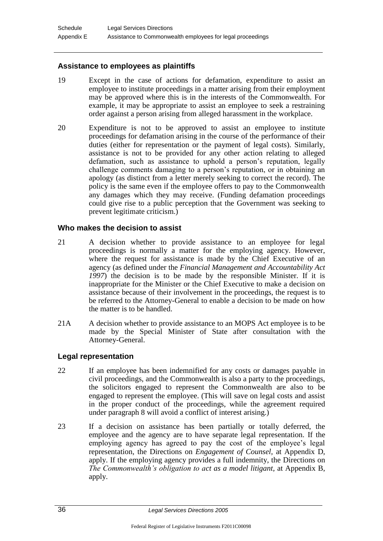## **Assistance to employees as plaintiffs**

- 19 Except in the case of actions for defamation, expenditure to assist an employee to institute proceedings in a matter arising from their employment may be approved where this is in the interests of the Commonwealth. For example, it may be appropriate to assist an employee to seek a restraining order against a person arising from alleged harassment in the workplace.
- 20 Expenditure is not to be approved to assist an employee to institute proceedings for defamation arising in the course of the performance of their duties (either for representation or the payment of legal costs). Similarly, assistance is not to be provided for any other action relating to alleged defamation, such as assistance to uphold a person's reputation, legally challenge comments damaging to a person's reputation, or in obtaining an apology (as distinct from a letter merely seeking to correct the record). The policy is the same even if the employee offers to pay to the Commonwealth any damages which they may receive. (Funding defamation proceedings could give rise to a public perception that the Government was seeking to prevent legitimate criticism.)

#### **Who makes the decision to assist**

- 21 A decision whether to provide assistance to an employee for legal proceedings is normally a matter for the employing agency. However, where the request for assistance is made by the Chief Executive of an agency (as defined under the *Financial Management and Accountability Act 1997*) the decision is to be made by the responsible Minister. If it is inappropriate for the Minister or the Chief Executive to make a decision on assistance because of their involvement in the proceedings, the request is to be referred to the Attorney-General to enable a decision to be made on how the matter is to be handled.
- 21A A decision whether to provide assistance to an MOPS Act employee is to be made by the Special Minister of State after consultation with the Attorney-General.

## **Legal representation**

- 22 If an employee has been indemnified for any costs or damages payable in civil proceedings, and the Commonwealth is also a party to the proceedings, the solicitors engaged to represent the Commonwealth are also to be engaged to represent the employee. (This will save on legal costs and assist in the proper conduct of the proceedings, while the agreement required under paragraph 8 will avoid a conflict of interest arising.
- 23 If a decision on assistance has been partially or totally deferred, the employee and the agency are to have separate legal representation. If the employing agency has agreed to pay the cost of the employee's legal representation, the Directions on *Engagement of Counsel,* at Appendix D, apply. If the employing agency provides a full indemnity, the Directions on *The Commonwealth's obligation to act as a model litigant,* at Appendix B, apply.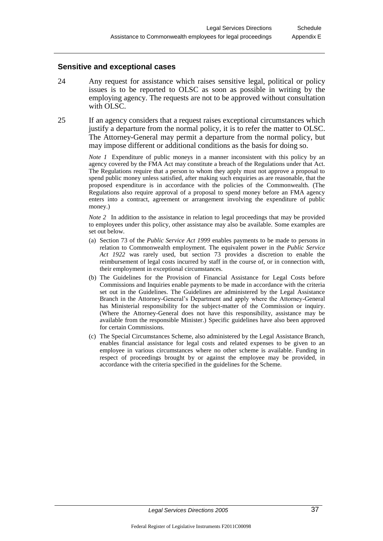#### **Sensitive and exceptional cases**

- 24 Any request for assistance which raises sensitive legal, political or policy issues is to be reported to OLSC as soon as possible in writing by the employing agency. The requests are not to be approved without consultation with OLSC.
- 25 If an agency considers that a request raises exceptional circumstances which justify a departure from the normal policy, it is to refer the matter to OLSC. The Attorney-General may permit a departure from the normal policy, but may impose different or additional conditions as the basis for doing so.

*Note 1* Expenditure of public moneys in a manner inconsistent with this policy by an agency covered by the FMA Act may constitute a breach of the Regulations under that Act. The Regulations require that a person to whom they apply must not approve a proposal to spend public money unless satisfied, after making such enquiries as are reasonable, that the proposed expenditure is in accordance with the policies of the Commonwealth. (The Regulations also require approval of a proposal to spend money before an FMA agency enters into a contract, agreement or arrangement involving the expenditure of public money.)

*Note 2* In addition to the assistance in relation to legal proceedings that may be provided to employees under this policy, other assistance may also be available. Some examples are set out below.

- (a) Section 73 of the *Public Service Act 1999* enables payments to be made to persons in relation to Commonwealth employment. The equivalent power in the *Public Service Act 1922* was rarely used, but section 73 provides a discretion to enable the reimbursement of legal costs incurred by staff in the course of, or in connection with, their employment in exceptional circumstances.
- (b) The Guidelines for the Provision of Financial Assistance for Legal Costs before Commissions and Inquiries enable payments to be made in accordance with the criteria set out in the Guidelines. The Guidelines are administered by the Legal Assistance Branch in the Attorney-General's Department and apply where the Attorney-General has Ministerial responsibility for the subject-matter of the Commission or inquiry. (Where the Attorney-General does not have this responsibility, assistance may be available from the responsible Minister.) Specific guidelines have also been approved for certain Commissions.
- (c) The Special Circumstances Scheme, also administered by the Legal Assistance Branch, enables financial assistance for legal costs and related expenses to be given to an employee in various circumstances where no other scheme is available. Funding in respect of proceedings brought by or against the employee may be provided, in accordance with the criteria specified in the guidelines for the Scheme.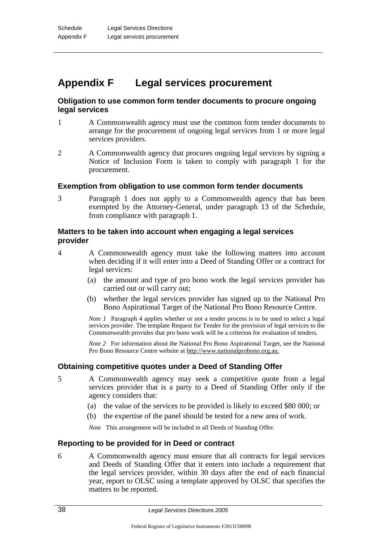## **Appendix F Legal services procurement**

## **Obligation to use common form tender documents to procure ongoing legal services**

- 1 A Commonwealth agency must use the common form tender documents to arrange for the procurement of ongoing legal services from 1 or more legal services providers.
- 2 A Commonwealth agency that procures ongoing legal services by signing a Notice of Inclusion Form is taken to comply with paragraph 1 for the procurement.

#### **Exemption from obligation to use common form tender documents**

3 Paragraph 1 does not apply to a Commonwealth agency that has been exempted by the Attorney-General, under paragraph 13 of the Schedule, from compliance with paragraph 1.

## **Matters to be taken into account when engaging a legal services provider**

- 4 A Commonwealth agency must take the following matters into account when deciding if it will enter into a Deed of Standing Offer or a contract for legal services:
	- (a) the amount and type of pro bono work the legal services provider has carried out or will carry out;
	- (b) whether the legal services provider has signed up to the National Pro Bono Aspirational Target of the National Pro Bono Resource Centre.

*Note 1* Paragraph 4 applies whether or not a tender process is to be used to select a legal services provider. The template Request for Tender for the provision of legal services to the Commonwealth provides that pro bono work will be a criterion for evaluation of tenders.

*Note 2* For information about the National Pro Bono Aspirational Target, see the National Pro Bono Resource Centre website at http://www.nationalprobono.org.au.

## **Obtaining competitive quotes under a Deed of Standing Offer**

- 5 A Commonwealth agency may seek a competitive quote from a legal services provider that is a party to a Deed of Standing Offer only if the agency considers that:
	- (a) the value of the services to be provided is likely to exceed \$80 000; or
	- (b) the expertise of the panel should be tested for a new area of work.

*Note* This arrangement will be included in all Deeds of Standing Offer.

## **Reporting to be provided for in Deed or contract**

6 A Commonwealth agency must ensure that all contracts for legal services and Deeds of Standing Offer that it enters into include a requirement that the legal services provider, within 30 days after the end of each financial year, report to OLSC using a template approved by OLSC that specifies the matters to be reported.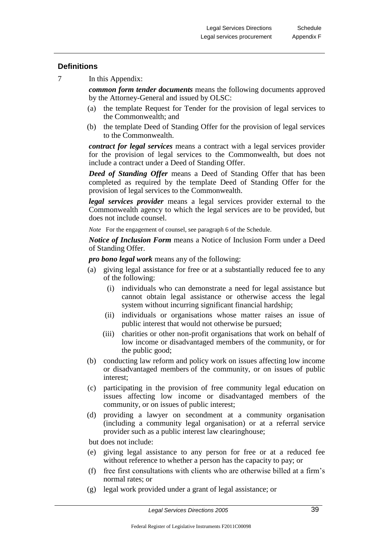## **Definitions**

7 In this Appendix:

*common form tender documents* means the following documents approved by the Attorney-General and issued by OLSC:

- (a) the template Request for Tender for the provision of legal services to the Commonwealth; and
- (b) the template Deed of Standing Offer for the provision of legal services to the Commonwealth.

*contract for legal services* means a contract with a legal services provider for the provision of legal services to the Commonwealth, but does not include a contract under a Deed of Standing Offer.

*Deed of Standing Offer* means a Deed of Standing Offer that has been completed as required by the template Deed of Standing Offer for the provision of legal services to the Commonwealth.

*legal services provider* means a legal services provider external to the Commonwealth agency to which the legal services are to be provided, but does not include counsel.

*Note* For the engagement of counsel, see paragraph 6 of the Schedule.

*Notice of Inclusion Form* means a Notice of Inclusion Form under a Deed of Standing Offer.

*pro bono legal work* means any of the following:

- (a) giving legal assistance for free or at a substantially reduced fee to any of the following:
	- (i) individuals who can demonstrate a need for legal assistance but cannot obtain legal assistance or otherwise access the legal system without incurring significant financial hardship;
	- (ii) individuals or organisations whose matter raises an issue of public interest that would not otherwise be pursued;
	- (iii) charities or other non-profit organisations that work on behalf of low income or disadvantaged members of the community, or for the public good;
- (b) conducting law reform and policy work on issues affecting low income or disadvantaged members of the community, or on issues of public interest;
- (c) participating in the provision of free community legal education on issues affecting low income or disadvantaged members of the community, or on issues of public interest;
- (d) providing a lawyer on secondment at a community organisation (including a community legal organisation) or at a referral service provider such as a public interest law clearinghouse;

but does not include:

- (e) giving legal assistance to any person for free or at a reduced fee without reference to whether a person has the capacity to pay; or
- (f) free first consultations with clients who are otherwise billed at a firm's normal rates; or
- (g) legal work provided under a grant of legal assistance; or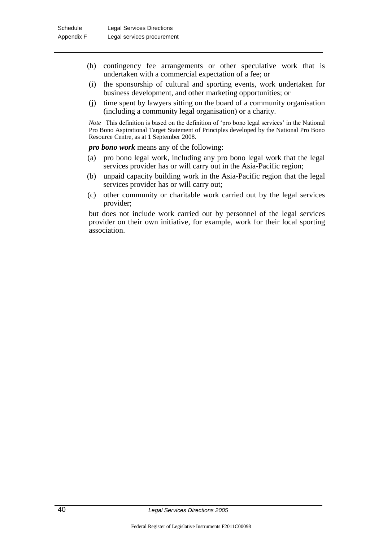- (h) contingency fee arrangements or other speculative work that is undertaken with a commercial expectation of a fee; or
- (i) the sponsorship of cultural and sporting events, work undertaken for business development, and other marketing opportunities; or
- (j) time spent by lawyers sitting on the board of a community organisation (including a community legal organisation) or a charity.

*Note* This definition is based on the definition of 'pro bono legal services' in the National Pro Bono Aspirational Target Statement of Principles developed by the National Pro Bono Resource Centre, as at 1 September 2008.

*pro bono work* means any of the following:

- (a) pro bono legal work, including any pro bono legal work that the legal services provider has or will carry out in the Asia-Pacific region;
- (b) unpaid capacity building work in the Asia-Pacific region that the legal services provider has or will carry out;
- (c) other community or charitable work carried out by the legal services provider;

but does not include work carried out by personnel of the legal services provider on their own initiative, for example, work for their local sporting association.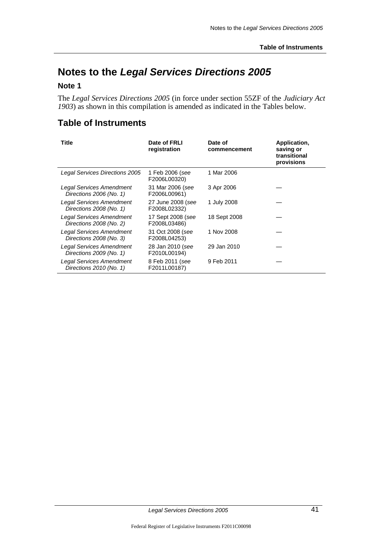## **Notes to the** *Legal Services Directions 2005*

## **Note 1**

The *Legal Services Directions 2005* (in force under section 55ZF of the *Judiciary Act 1903*) as shown in this compilation is amended as indicated in the Tables below.

## **Table of Instruments**

| <b>Title</b>                                               | Date of FRLI<br>registration      | Date of<br>commencement | Application,<br>saving or<br>transitional<br>provisions |
|------------------------------------------------------------|-----------------------------------|-------------------------|---------------------------------------------------------|
| Legal Services Directions 2005                             | 1 Feb 2006 (see<br>F2006L00320)   | 1 Mar 2006              |                                                         |
| Legal Services Amendment<br>Directions 2006 (No. 1)        | 31 Mar 2006 (see<br>F2006L00961)  | 3 Apr 2006              |                                                         |
| <b>Legal Services Amendment</b><br>Directions 2008 (No. 1) | 27 June 2008 (see<br>F2008L02332) | 1 July 2008             |                                                         |
| Legal Services Amendment<br>Directions 2008 (No. 2)        | 17 Sept 2008 (see<br>F2008L03486) | 18 Sept 2008            |                                                         |
| Legal Services Amendment<br>Directions 2008 (No. 3)        | 31 Oct 2008 (see<br>F2008L04253)  | 1 Nov 2008              |                                                         |
| Legal Services Amendment<br>Directions 2009 (No. 1)        | 28 Jan 2010 (see<br>F2010L00194)  | 29 Jan 2010             |                                                         |
| Legal Services Amendment<br>Directions 2010 (No. 1)        | 8 Feb 2011 (see<br>F2011L00187)   | 9 Feb 2011              |                                                         |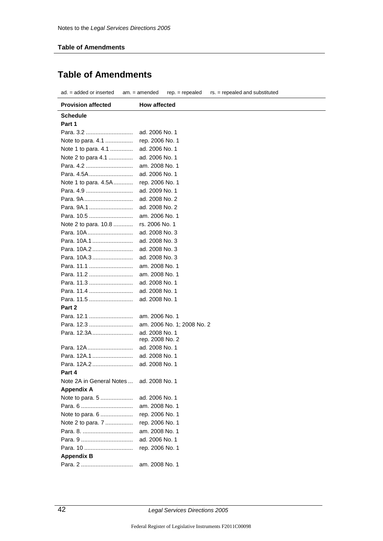## **Table of Amendments**

| ad. = added or inserted<br>$rep. = rep.$<br>rs. = repealed and substituted<br>$am. = amended$ |                                   |  |  |  |  |  |
|-----------------------------------------------------------------------------------------------|-----------------------------------|--|--|--|--|--|
| <b>Provision affected</b>                                                                     | <b>How affected</b>               |  |  |  |  |  |
| <b>Schedule</b>                                                                               |                                   |  |  |  |  |  |
| Part 1                                                                                        |                                   |  |  |  |  |  |
| Para. 3.2                                                                                     | ad. 2006 No. 1                    |  |  |  |  |  |
| Note to para. 4.1                                                                             | rep. 2006 No. 1                   |  |  |  |  |  |
| Note 1 to para. 4.1                                                                           | ad. 2006 No. 1                    |  |  |  |  |  |
| Note 2 to para 4.1                                                                            | ad. 2006 No. 1                    |  |  |  |  |  |
| Para, 4.2                                                                                     | am. 2008 No. 1                    |  |  |  |  |  |
| Para. 4.5A                                                                                    | ad. 2006 No. 1                    |  |  |  |  |  |
| Note 1 to para. 4.5A                                                                          | rep. 2006 No. 1                   |  |  |  |  |  |
| Para. 4.9                                                                                     | ad. 2009 No. 1                    |  |  |  |  |  |
| Para. 9A                                                                                      | ad. 2008 No. 2                    |  |  |  |  |  |
| Para, 9A.1                                                                                    | ad. 2008 No. 2                    |  |  |  |  |  |
| Para. 10.5                                                                                    | am. 2006 No. 1                    |  |  |  |  |  |
| Note 2 to para. 10.8                                                                          | rs. 2006 No. 1                    |  |  |  |  |  |
| Para. 10A                                                                                     | ad. 2008 No. 3                    |  |  |  |  |  |
| Para. 10A.1                                                                                   | ad. 2008 No. 3                    |  |  |  |  |  |
| Para, 10A.2                                                                                   | ad. 2008 No. 3                    |  |  |  |  |  |
| Para. 10A.3                                                                                   | ad. 2008 No. 3                    |  |  |  |  |  |
| Para. 11.1                                                                                    | am. 2008 No. 1                    |  |  |  |  |  |
| Para, 11.2                                                                                    | am. 2008 No. 1                    |  |  |  |  |  |
| Para. 11.3                                                                                    | ad. 2008 No. 1                    |  |  |  |  |  |
| Para. 11.4                                                                                    | ad. 2008 No. 1                    |  |  |  |  |  |
| Para, 11.5                                                                                    | ad. 2008 No. 1                    |  |  |  |  |  |
| Part 2                                                                                        |                                   |  |  |  |  |  |
| Para, 12.1                                                                                    | am. 2006 No. 1                    |  |  |  |  |  |
| Para. 12.3                                                                                    | am. 2006 No. 1; 2008 No. 2        |  |  |  |  |  |
| Para. 12.3A                                                                                   | ad. 2008 No. 1<br>rep. 2008 No. 2 |  |  |  |  |  |
| Para, 12A                                                                                     | ad. 2008 No. 1                    |  |  |  |  |  |
| Para. 12A.1                                                                                   | ad. 2008 No. 1                    |  |  |  |  |  |
| Para. 12A.2                                                                                   | ad. 2008 No. 1                    |  |  |  |  |  |
| Part 4                                                                                        |                                   |  |  |  |  |  |
| Note 2A in General Notes                                                                      | ad. 2008 No. 1                    |  |  |  |  |  |
| <b>Appendix A</b>                                                                             |                                   |  |  |  |  |  |
| Note to para. 5                                                                               | ad. 2006 No. 1                    |  |  |  |  |  |
|                                                                                               | am. 2008 No. 1                    |  |  |  |  |  |
| Note to para. 6                                                                               | rep. 2006 No. 1                   |  |  |  |  |  |
| Note 2 to para. 7                                                                             | rep. 2006 No. 1                   |  |  |  |  |  |
|                                                                                               | am. 2008 No. 1                    |  |  |  |  |  |
|                                                                                               | ad. 2006 No. 1                    |  |  |  |  |  |
| Para. 10                                                                                      | rep. 2006 No. 1                   |  |  |  |  |  |
| <b>Appendix B</b>                                                                             |                                   |  |  |  |  |  |
|                                                                                               | am. 2008 No. 1                    |  |  |  |  |  |